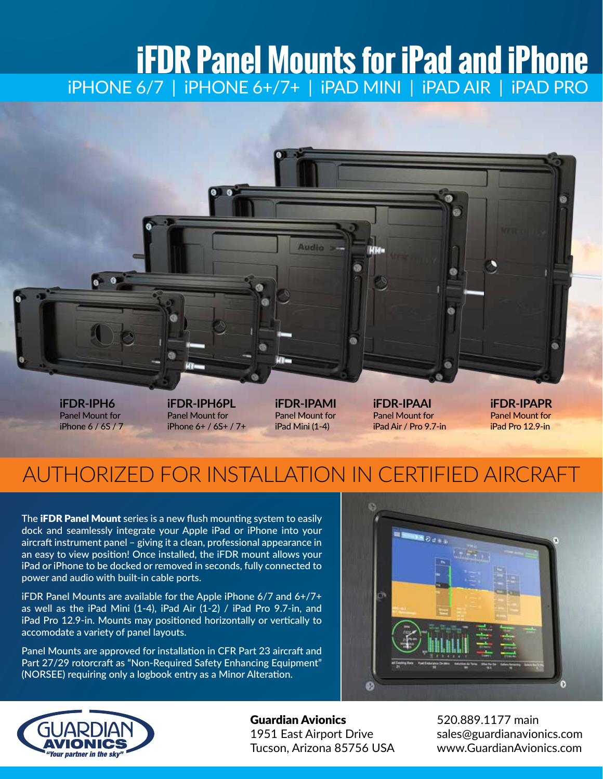# **iFDR Panel Mounts for iPad and iPhone** iPHONE 6/7 | iPHONE 6+/7+ | iPAD MINI | iPAD AIR | iPAD PRO



**iFDR-IPH6** Panel Mount for iPhone 6 / 6S / 7 **iFDR-IPH6PL** Panel Mount for iPhone 6+ / 6S+ / 7+ **iFDR-IPAMI** Panel Mount for iPad Mini (1-4)

**iFDR-IPAAI** Panel Mount for iPad Air / Pro 9.7-in **iFDR-IPAPR** Panel Mount for iPad Pro 12.9-in

## AUTHORIZED FOR INSTALLATION IN CERTIFIED AIRCRAFT

The **iFDR Panel Mount** series is a new flush mounting system to easily dock and seamlessly integrate your Apple iPad or iPhone into your aircraft instrument panel – giving it a clean, professional appearance in an easy to view position! Once installed, the iFDR mount allows your iPad or iPhone to be docked or removed in seconds, fully connected to power and audio with built-in cable ports.

iFDR Panel Mounts are available for the Apple iPhone 6/7 and 6+/7+ as well as the iPad Mini (1-4), iPad Air (1-2) / iPad Pro 9.7-in, and iPad Pro 12.9-in. Mounts may positioned horizontally or vertically to accomodate a variety of panel layouts.

Panel Mounts are approved for installation in CFR Part 23 aircraft and Part 27/29 rotorcraft as "Non-Required Safety Enhancing Equipment" (NORSEE) requiring only a logbook entry as a Minor Alteration.





Guardian Avionics 1951 East Airport Drive Tucson, Arizona 85756 USA

520.889.1177 main sales@guardianavionics.com www.GuardianAvionics.com